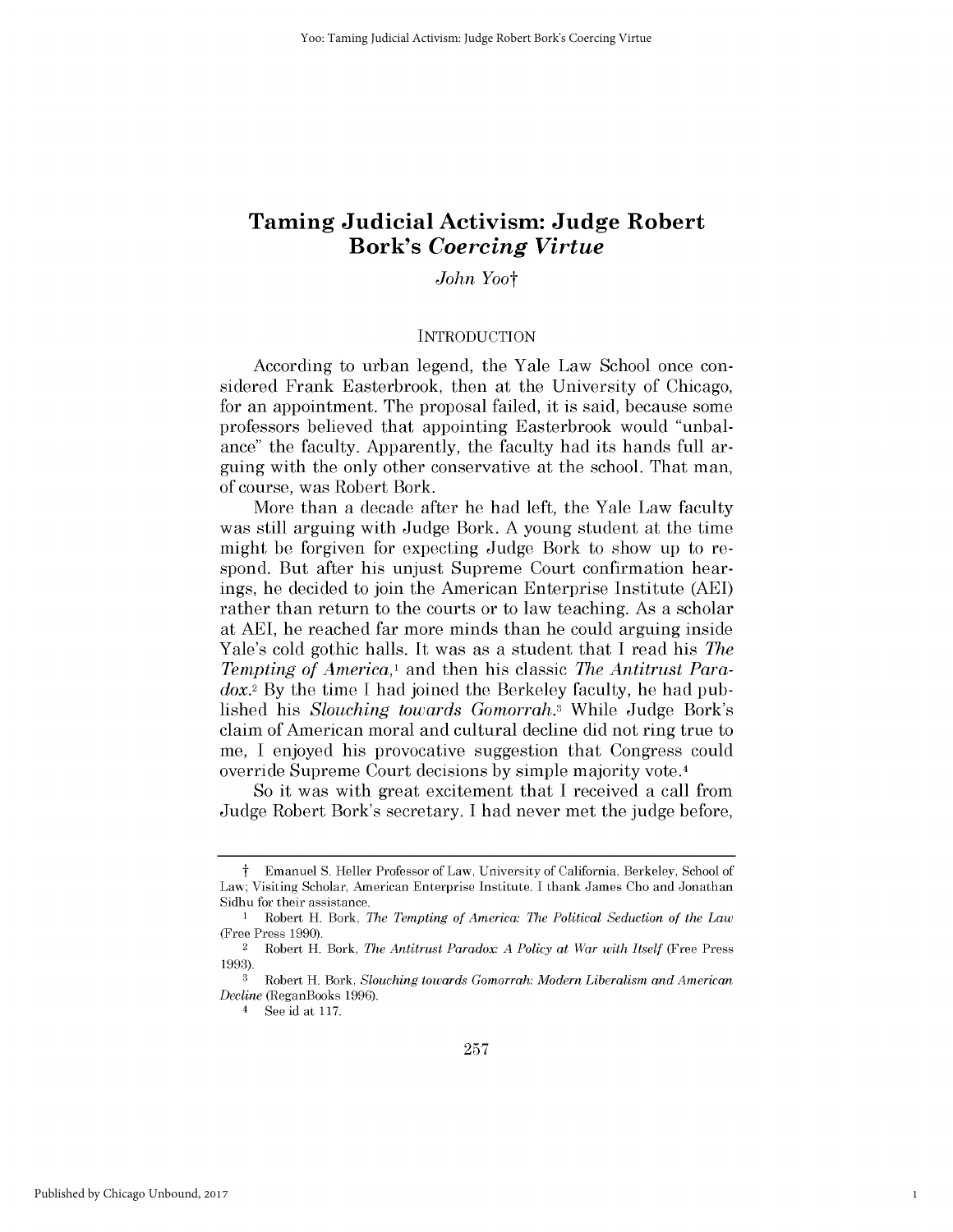# **Taming Judicial Activism: Judge Robert Bork's** *Coercing Virtue*

*John Yoot*

#### **INTRODUCTION**

According to urban legend, the Yale Law School once considered Frank Easterbrook, then at the University of Chicago, for an appointment. The proposal failed, it *is* said, because some professors believed that appointing Easterbrook would "unbalance" the faculty. Apparently, the faculty had its hands full arguing with the only other conservative at the school. That man, of course, was Robert Bork.

More than a decade after he had left, the Yale Law faculty was still arguing with Judge Bork. **A** young student at the time might be forgiven for expecting Judge Bork to show up to respond. But after his unjust Supreme Court confirmation hearings, he decided to join the American Enterprise Institute **(AEI)** rather than return to the courts or to law teaching. As a scholar at **AEI,** he reached far more minds than he could arguing inside Yale's cold gothic halls. It was as a student that **I** read his *The Tempting of America,'* and then *his classic The Antitrust Para*dox.2 **By** the time **I** had joined the Berkeley faculty, he had published *his Slouching towards Gomorrah.3* While Judge Bork's claim of American moral and cultural decline **did** not ring true to me, **I** enjoyed his provocative suggestion that Congress could override Supreme Court decisions **by** simple majority vote. <sup>4</sup>

So it was with great excitement that **I** received a call from Judge Robert Bork's secretary. **I** had never met the judge before,

1

t Emanuel **S.** Heller Professor of Law, University of California, Berkeley, School of Law; Visiting Scholar, American Enterprise Institute. **I** thank James Cho and Jonathan Sidhu for their assistance.

<sup>1</sup> Robert H. Bork, *The Tempting of America: The Political Seduction of the Law* (Free Press **1990).**

<sup>2</sup>Robert H. Bork, *The Antitrust Paradox: A Policy at War with Itself* (Free Press **1993).**

**<sup>3</sup>** Robert H. Bork, *Slouching towards Gomorrah: Modern Liberalism and American Decline* (ReganBooks **1996).**

<sup>4</sup> See id at **117.**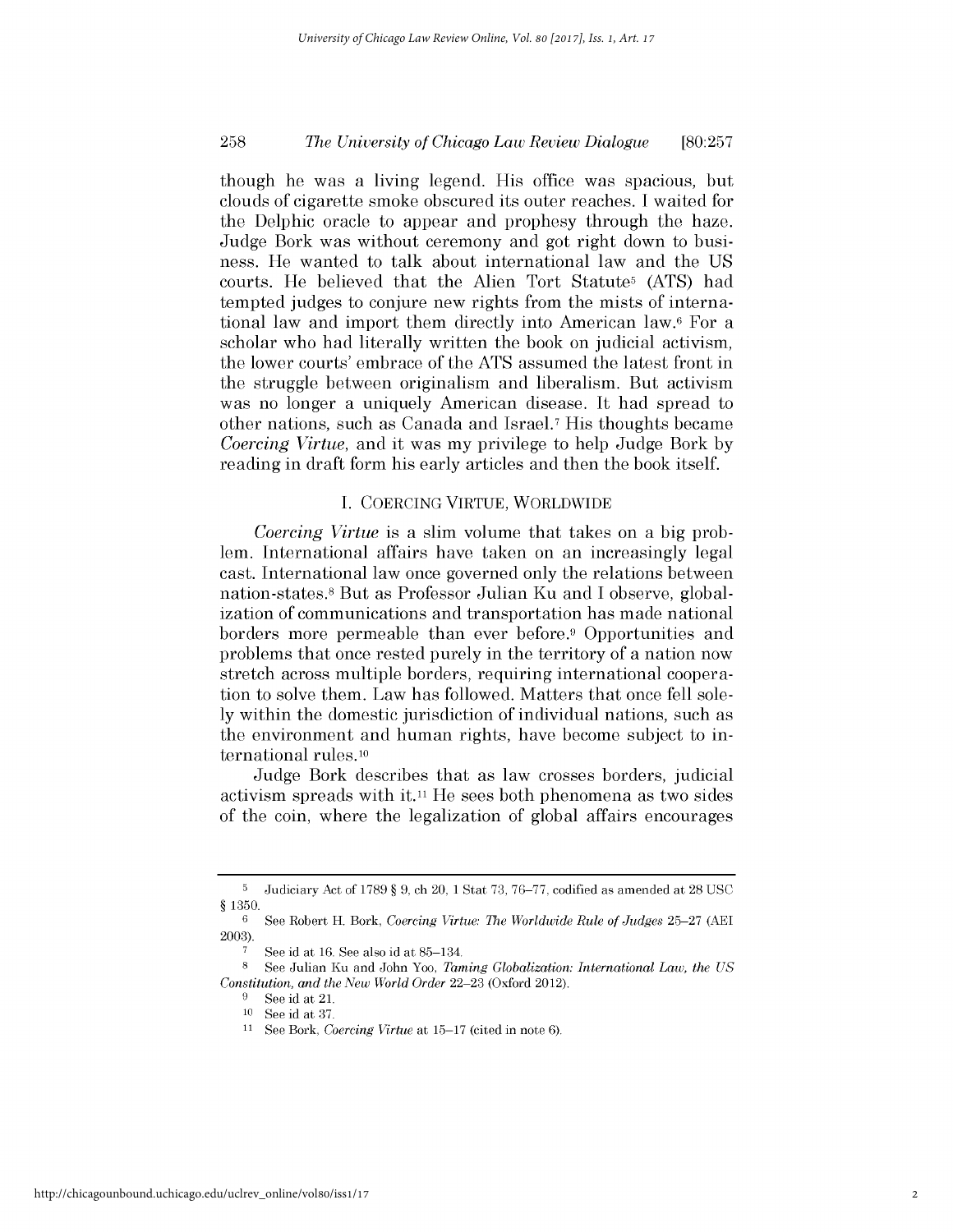# *The University of Chicago Law Review Dialogue* **258 [80:257**

though he was a living legend. His office was spacious, but clouds of cigarette smoke obscured its outer reaches. **I** waited for the Delphic oracle to appear and prophesy through the haze. Judge Bork was without ceremony and got right down to business. He wanted to talk about international law and the **US** courts. He believed that the Alien Tort Statutes **(ATS)** had tempted judges to conjure new rights from the mists of international law and import them directly into American law.6 For a scholar who had literally written the book on judicial activism, the lower courts' embrace of the **ATS** assumed the latest front in the struggle between originalism and liberalism. But activism was no longer a uniquely American disease. It had spread to other nations, such as Canada and Israel.7 His thoughts became *Coercing Virtue,* and it was my privilege to help Judge Bork **by** reading in draft form his early articles and then the book itself.

#### **I. COERCING** VIRTUE, WORLDWIDE

*Coercing Virtue is* a slim volume that takes on a **big** problem. International affairs have taken on an increasingly legal cast. International law once governed only the relations between nation-states. 8 But as Professor Julian Ku and **I** observe, globalization of communications and transportation has made national borders more permeable than ever before.9 Opportunities and problems that once rested purely in the territory of a nation now stretch across multiple borders, requiring international cooperation to solve them. Law has followed. Matters that once fell sole**ly** within the domestic jurisdiction of individual nations, such as the environment and human rights, have become subject to international rules.1o

Judge Bork describes that as law crosses borders, judicial activism spreads with it.11 He sees both phenomena as two sides of the coin, where the legalization of global affairs encourages

**<sup>5</sup>**Judiciary Act of **1789** *§* **9,** ch 20, **1** Stat **73, 76-77,** codified as amended at **28 USC** *§* **1350.**

**<sup>6</sup> See** Robert H. Bork, *Coercing Virtue: The Worldwide Rule of Judges* **25-27 (AEl 2003).**

**<sup>7</sup> See** id at **16.** See also id at **85-134.**

**<sup>8</sup>**See Julian Ku and John Yoo, *Taming Globalization: International Law, the US Constitution, and the New World Order* **22-23** (Oxford 2012).

<sup>&</sup>lt;sup>9</sup> See id at 21.

**<sup>10</sup>**See id at **37.**

**<sup>11</sup>** See Bork, *Coercing Virtue* at **15-17** (cited in note **6).**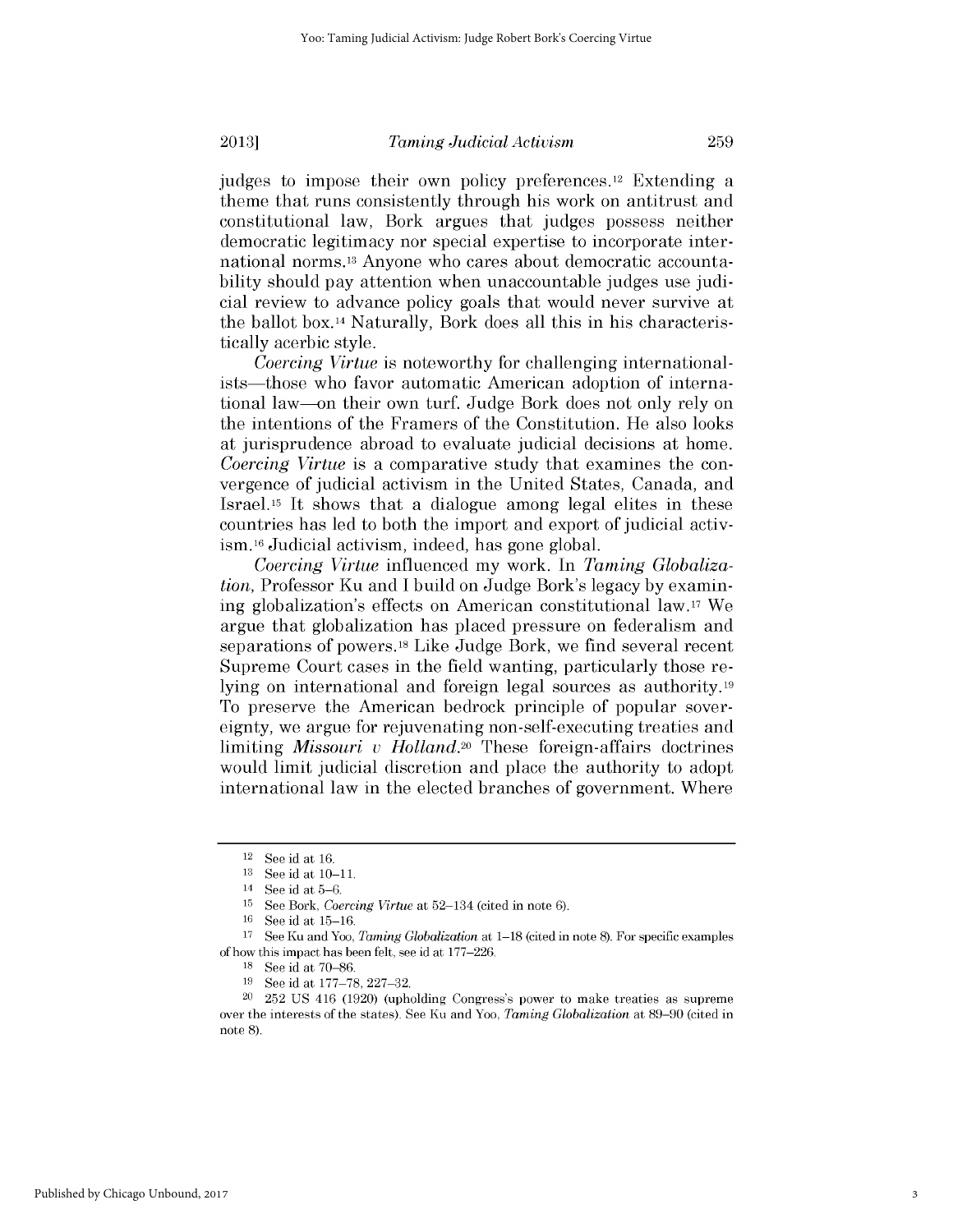judges to impose their own policy preferences.12 Extending a theme that runs consistently through his work on antitrust and constitutional law, Bork argues that judges possess neither democratic legitimacy nor special expertise to incorporate inter-

national norms. 13 Anyone who cares about democratic accountability should pay attention when unaccountable judges use judicial review to advance policy goals that would never survive at the ballot box. 14 Naturally, Bork does all this in his characteristically acerbic style.

*Coercing Virtue is* noteworthy for challenging internationalists-those who favor automatic American adoption of international law-on their own turf. Judge Bork does not only rely on the intentions of the Framers of the Constitution. He also looks at jurisprudence abroad to evaluate judicial decisions at home. *Coercing Virtue* is a comparative study that examines the convergence of judicial activism in the United States, Canada, and Israel.15 It shows that a dialogue among legal elites in these countries has led to both the import and export of judicial activ**ism. <sup>16</sup>**Judicial activism, indeed, has gone global.

*Coercing Virtue* influenced my work. In *Taming Globalization,* Professor Ku and **I** build on Judge Bork's legacy **by** examining globalization's effects on American constitutional law.17 We argue that globalization has placed pressure on federalism and separations of powers. 18 Like Judge Bork, we find several recent Supreme Court cases in the field wanting, particularly those relying on international and foreign legal sources as authority.19 To preserve the American bedrock principle of popular sovereignty, we argue for rejuvenating non-self-executing treaties and limiting *Missouri v Holland.20* These foreign-affairs doctrines would limit judicial discretion and place the authority to adopt international law in the elected branches of government. Where

<sup>12</sup>**See** id at **16.**

 $13$  See id at  $10-11$ .<br> $14$  See id at 5-6

See id at 5-6.

**<sup>15</sup> See** Bork, *Coercing Virtue* at 52-134 (cited in note **6).**

**<sup>16</sup>**See id at **15-16.**

**<sup>17</sup>**See Ku and Yoo, *Taming Globalization* at **1-18** (cited in note **8).** For specific examples of how this impact has been felt, see id at **177-226.**

**<sup>18</sup>**See id at **70-86.**

**<sup>19</sup>**See id at **177-78, 227-32.**

<sup>20</sup>**252 US** 416 **(1920)** (upholding Congress's power to make treaties as supreme over the interests of the states). See Ku and Yoo, *Taming Globalization* at **89-90** (cited in note **8).**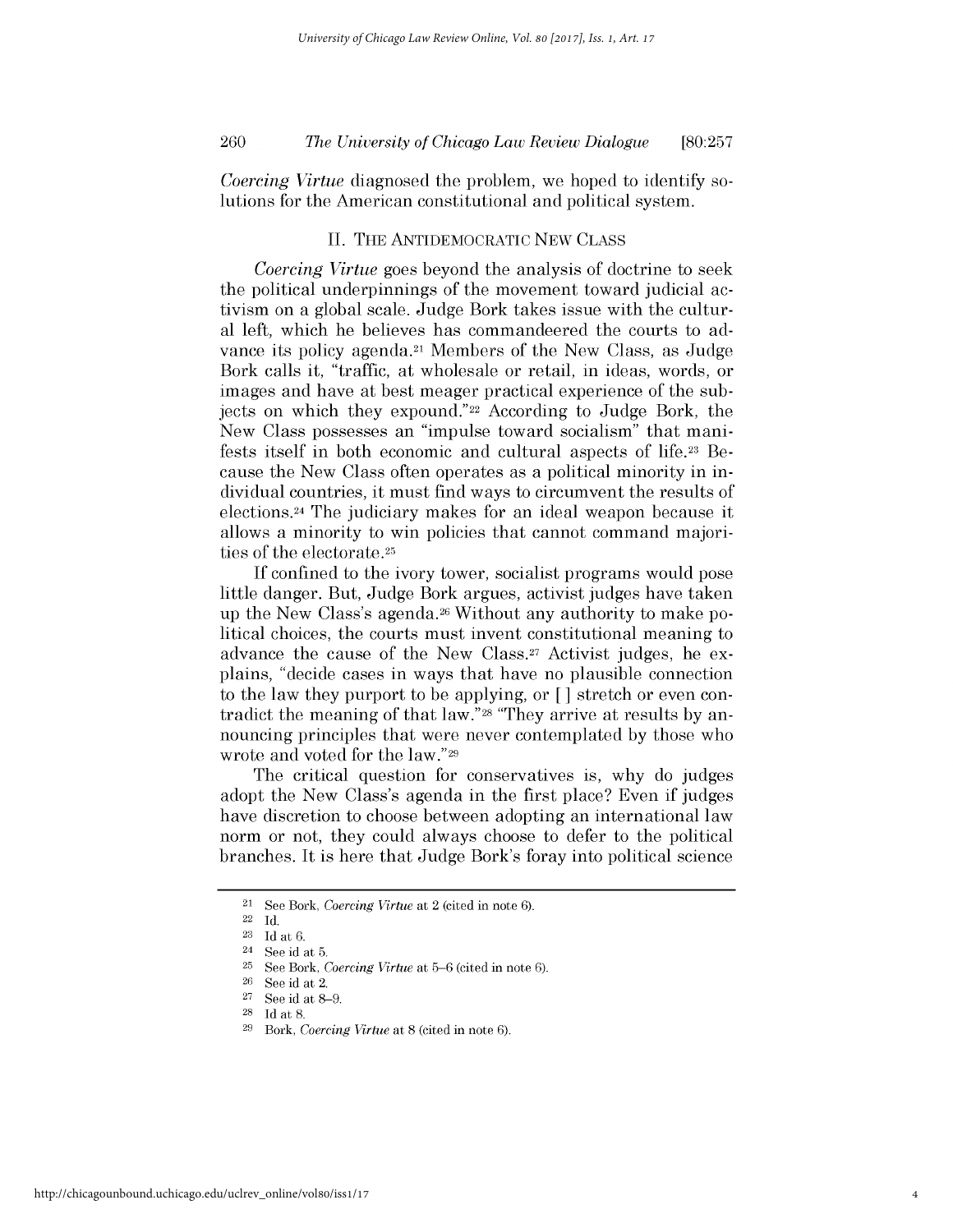# *The University of Chicago Law Review Dialogue* 260 **[80:257**

*Coercing Virtue* diagnosed the problem, we hoped to identify solutions for the American constitutional and political system.

#### **II. THE** ANTIDEMOCRATIC **NEW CLASS**

*Coercing Virtue* goes beyond the analysis of doctrine to seek the political underpinnings of the movement toward judicial activism on a global scale. Judge Bork takes issue with the cultural left, which he believes has commandeered the courts to advance its policy agenda.21 Members of the New Class, as Judge Bork calls it, "traffic, at wholesale or retail, in ideas, words, or images and have at best meager practical experience of the subjects on which they expound."22 According to Judge Bork, the New *Class possesses* an "impulse toward socialism" that manifests itself in both economic and cultural aspects **of** life.23 Because the New Class often operates as a political minority in individual countries, it must find ways to circumvent the results of elections.24 The judiciary makes for an ideal weapon because it allows a minority to win policies that cannot command majorities of the electorate.25

**If** confined to the ivory tower, socialist programs would pose little danger. But, Judge Bork argues, activist judges have taken up the New Class's agenda.26 Without any authority to make political choices, the courts must invent constitutional meaning to advance the cause of the New Class.27 Activist judges, he explains, "decide cases in ways that have no plausible connection to the law they purport to be applying, or **[ ]** stretch or even contradict the meaning of that law."28 "They arrive at results **by** announcing principles that were never contemplated **by** those who wrote and voted for the law."29

The critical question for conservatives is, why do judges adopt the New Class's agenda in the first place? Even **if** judges have discretion to choose between adopting an international law norm or not, they could always choose to defer to the political branches. It *is* here that Judge Bork's foray into political science

<sup>21</sup>**See** Bork, *Coercing Virtue at* 2 (cited in note **6).**

<sup>22</sup>**Id.**

 $\frac{23}{24}$  **Id at 6.**<br>**24 Soo id** 

See id at 5.

**<sup>25</sup>See** Bork, *Coercing Virtue* at **5-6** (cited in note **6).**

**<sup>26</sup>See** id at 2.

**<sup>27</sup>See** id at **8-9.**

**<sup>28</sup>Id** at **8.**

**<sup>29</sup>***Bork, Coercing Virtue* at **8** (cited in note **6).**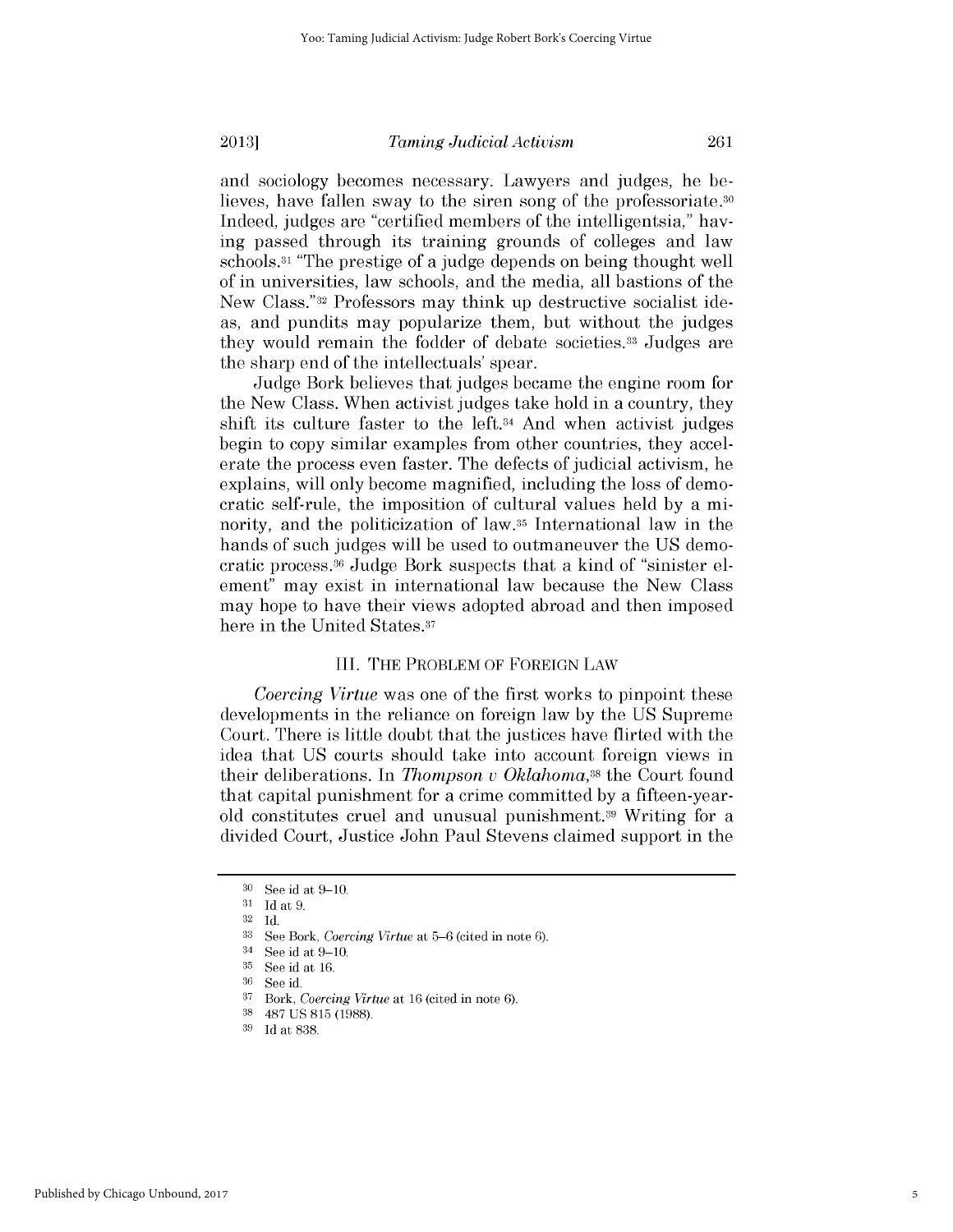and sociology becomes necessary. Lawyers and judges, he believes, have fallen sway to the siren song of the professoriate.<sup>30</sup> Indeed, judges are "certified members of the intelligentsia," having passed through its training grounds of colleges and law schools.31 "The prestige of a judge depends on being thought well of in universities, law schools, and the media, all bastions of the New Class."32 Professors may think up destructive socialist ideas, and pundits may popularize them, but without the judges they would remain the fodder of debate societies. 33 Judges are the sharp end of the intellectuals' spear.

Judge Bork believes that judges became the engine room for the New Class. When activist judges take hold in a country, they *shift its* culture faster to the left.34 And when activist judges begin to copy similar examples from other countries, they accelerate the process even faster. The defects of judicial activism, he explains, will only become magnified, including the loss of democratic self-rule, the imposition of cultural values held **by** a minority, and the politicization of law.35 International law in the hands of such judges will be used to outmaneuver the **US** democratic process. 36 Judge Bork suspects that a kind of "sinister element" may exist in international law because the New Class may hope to have their views adopted abroad and then imposed here in the United States.<sup>37</sup>

#### III. THE PROBLEM OF **FOREIGN** LAW

*Coercing Virtue* was one of the first works to pinpoint these developments in the reliance on foreign law **by** the **US** Supreme Court. There is little doubt that the justices have flirted with the idea that **US** courts should take into account foreign views in their deliberations. In *Thompson v Oklahoma,38* the Court found that capital punishment for a crime committed **by** a fifteen-yearold constitutes cruel and unusual punishment.39 Writing for a divided Court, Justice John Paul Stevens claimed support in the

**<sup>30</sup>**See id at **9-10.**

**<sup>31</sup> Id** at **9.**

**<sup>32</sup>Id.**

**<sup>33</sup>**See Bork, *Coercing Virtue* at **5-6** (cited in note **6).**

<sup>34</sup> See id at **9-10.**

**<sup>35</sup>See** id at **16.**

**<sup>36</sup>**See id.

**<sup>37</sup>***Bork, Coercing Virtue* at **16** (cited in note **6).**

**<sup>38</sup>487 US 815 (1988).**

**<sup>39</sup>Id** at **838**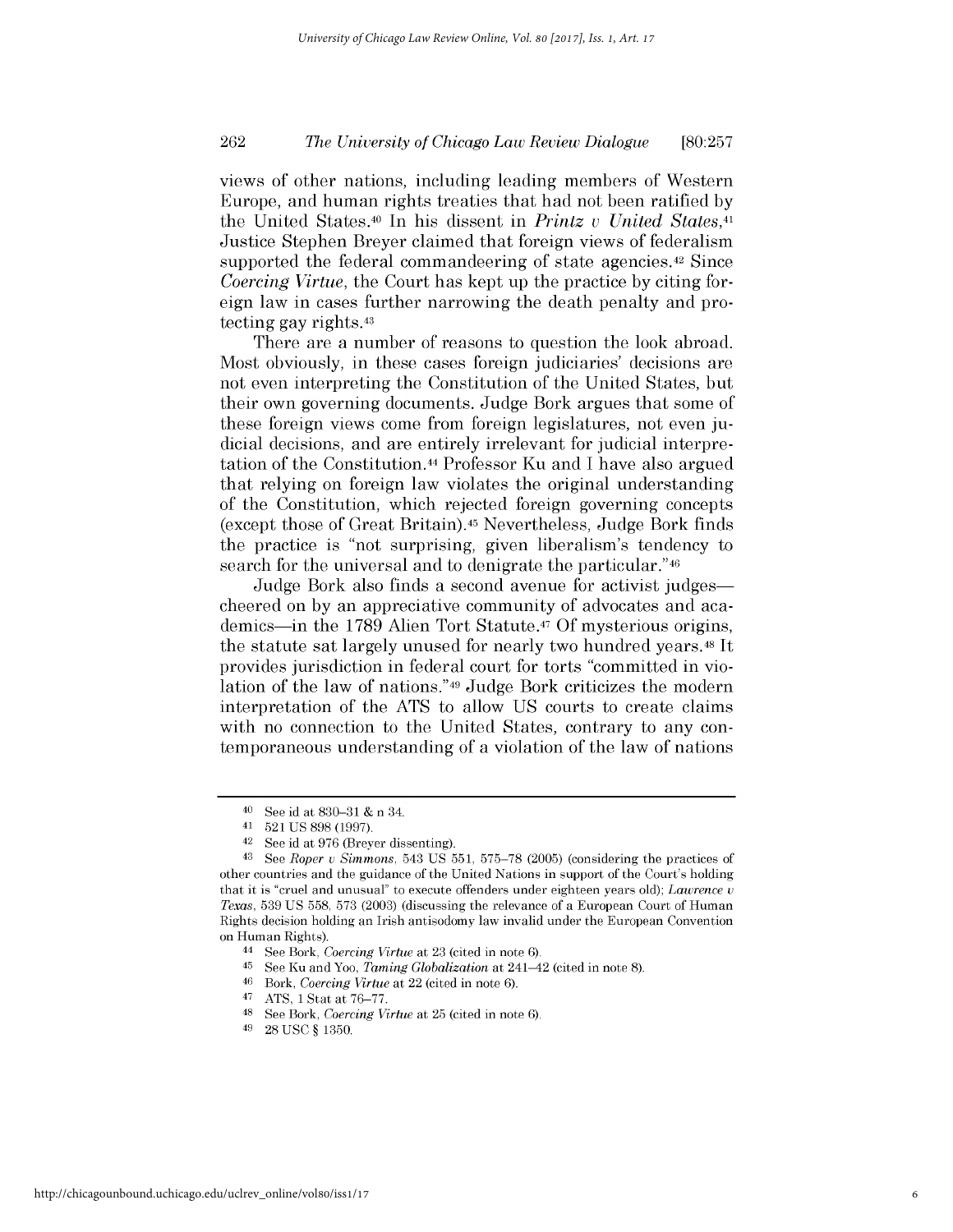# *The University of Chicago Law Review Dialogue* 262 **[80:257**

views of other nations, including leading members of Western Europe, and human rights treaties that had not been ratified **by** the United States.40 In his dissent in *Printz v United States,41* Justice Stephen Breyer claimed that foreign views of federalism supported the federal commandeering of state agencies.<sup>42</sup> Since *Coercing Virtue,* the Court has kept up the practice **by** citing foreign law in cases further narrowing the death penalty and protecting gay rights.43

There are a number of reasons to question the look abroad. Most obviously, in these cases foreign judiciaries' decisions are not even interpreting the Constitution of the United States, but their own governing documents. Judge Bork argues that some of these foreign views come from foreign legislatures, not even **ju**dicial decisions, and are entirely irrelevant for judicial interpretation of the Constitution.44 Professor Ku and **I** have also argued that relying on foreign law violates the original understanding of the Constitution, which rejected foreign governing concepts (except those of Great Britain).45 Nevertheless, Judge Bork finds the practice is "not surprising, given liberalism's tendency to search for the universal and to denigrate the particular."<sup>46</sup>

Judge Bork also finds a second avenue for activist judges cheered on **by** an appreciative community of advocates and academics-in the **1789** Alien Tort Statute.47 Of mysterious origins, the statute sat largely unused for nearly two hundred years.48 It provides jurisdiction in federal court for torts "committed in violation of the law of nations."49 Judge Bork criticizes the modern interpretation of the **ATS** to allow **US** courts to create claims with no connection to the United States, contrary to any contemporaneous understanding of a violation of the law of nations

**<sup>40</sup>See** id at **830-31 &** n 34.

**<sup>41</sup>521 US 898 (1997).**

**<sup>42</sup>**See id at **976** (Breyer dissenting).

<sup>43</sup> See *Roper u Simmons,* 543 **US 551, 575-78 (2005)** (considering the practices of other countries and the guidance of the United Nations in support of the Court's holding that it is "cruel and unusual" to execute offenders under eighteen years old); *Lawrence* v *Texas,* **539 US 558, 573 (2003)** (discussing the relevance of a European Court of Human Rights decision holding an Irish antisodomy law invalid under the European Convention on Human Rights).

<sup>44</sup>**See** Bork, *Coercing Virtue* at **23** (cited in note **6).**

**<sup>45</sup>**See Ku and Yoo, *Taming Globalization* at 241-42 (cited in note **8).**

**<sup>46</sup>***Bork, Coercing Virtue* at 22 (cited in note **6).**

<sup>47</sup>**ATS, 1** Stat at **76-77.**

<sup>48</sup> See Bork, *Coercing Virtue* at **25** (cited in note **6).**

<sup>49</sup>**28 USC** *§* **1350.**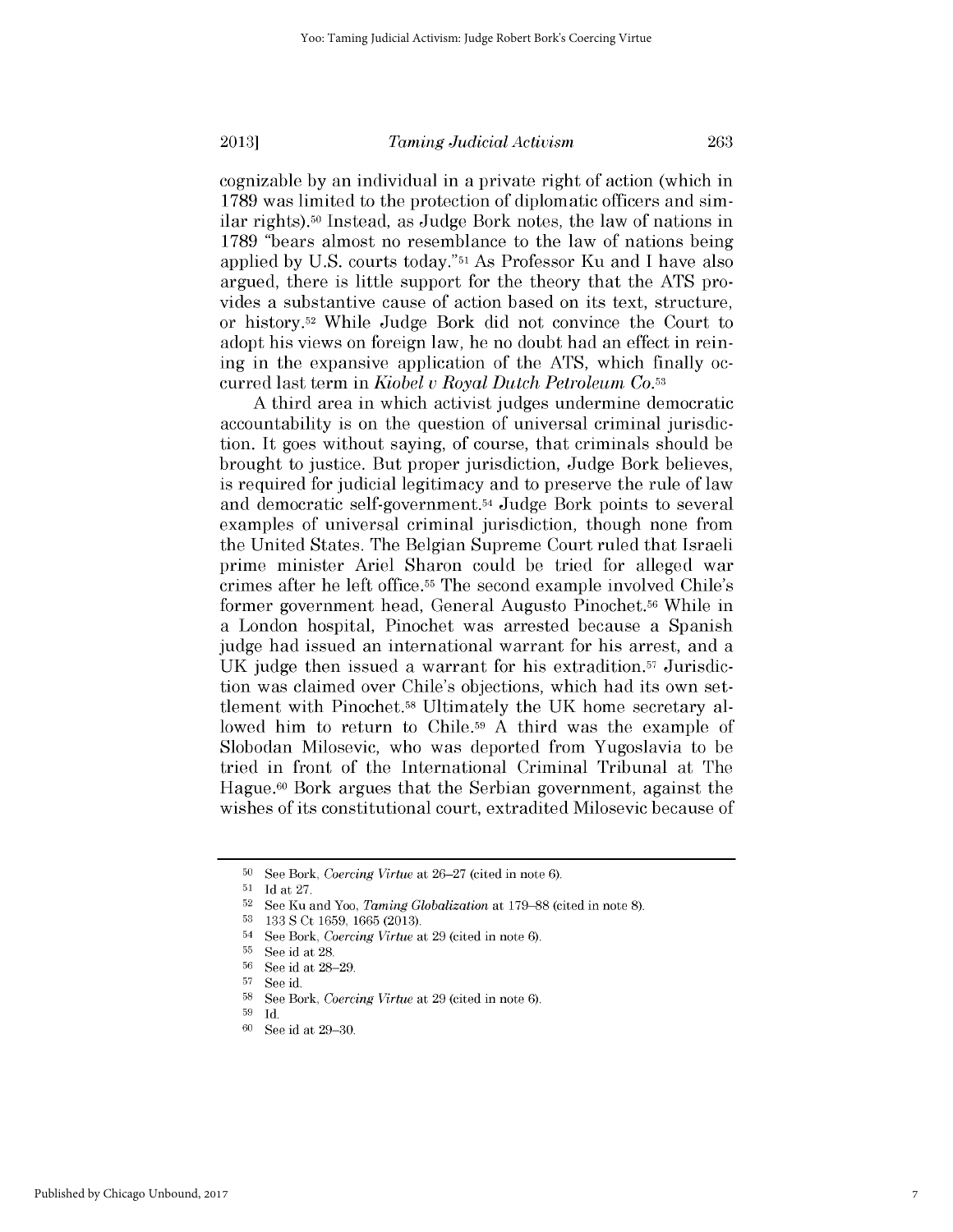cognizable **by** an individual in a private right of action (which in **1789** was limited to the protection of diplomatic officers and similar rights).50 Instead, as Judge Bork notes, the law of nations in **1789** "bears almost no resemblance to the law of nations being applied **by U.S.** courts today."51 As Professor Ku and **I** have also argued, there is little support for the theory that the **ATS** provides a substantive cause of action based on its text, structure, or history.52 While Judge Bork **did** not convince the Court to adopt his views on foreign law, he no doubt had an effect in reining in the expansive application of the **ATS,** which finally occurred last term in *Kiobel v Royal Dutch Petroleum Co.53*

**A** third area in which activist judges undermine democratic accountability is on the question of universal criminal jurisdiction. It goes without saying, of course, that criminals should be brought to justice. But proper jurisdiction, Judge Bork believes, is required for judicial legitimacy and to preserve the rule of law and democratic self-government.54 Judge Bork points to several examples of universal criminal jurisdiction, though none from the United States. The Belgian Supreme Court ruled that Israeli prime minister Ariel Sharon could be tried for alleged war crimes after he left office.55 The second example involved Chile's former government head, General Augusto Pinochet.56 While in a London hospital, Pinochet was arrested because a Spanish judge had issued an international warrant for his arrest, and a **UK** judge then issued a warrant for his extradition.57 Jurisdiction was claimed over Chile's objections, which had its own settlement with Pinochet.58 Ultimately the **UK** home secretary allowed him to return to Chile.<sup>59</sup> A third was the example of Slobodan Milosevic, who was deported from Yugoslavia to be tried **in** front of the International Criminal Tribunal at The Hague.60 Bork argues that the Serbian government, against the wishes of its constitutional court, extradited Milosevic because of

**<sup>50</sup>See** Bork, *Coercing Virtue at* **26-27** (cited in note **6).**

**<sup>51</sup>Id** at **27.**

**<sup>52</sup>See** Ku and Yoo, *Taming Globalization* at **179-88** (cited in note **8).**

**<sup>53</sup>133 S** Ct **1659, 1665 (2013).**

<sup>54</sup>**See** Bork, *Coercing Virtue* at **29** (cited in note **6).**

**<sup>5</sup>s** See id at **28.**

**<sup>56</sup>**See id at **28-29. <sup>57</sup>**See id.

**<sup>58</sup>**See Bork, *Coercing Virtue* at **29** (cited in note **6).**

**<sup>59</sup>Id.**

**<sup>60</sup>See** id at **29-30.**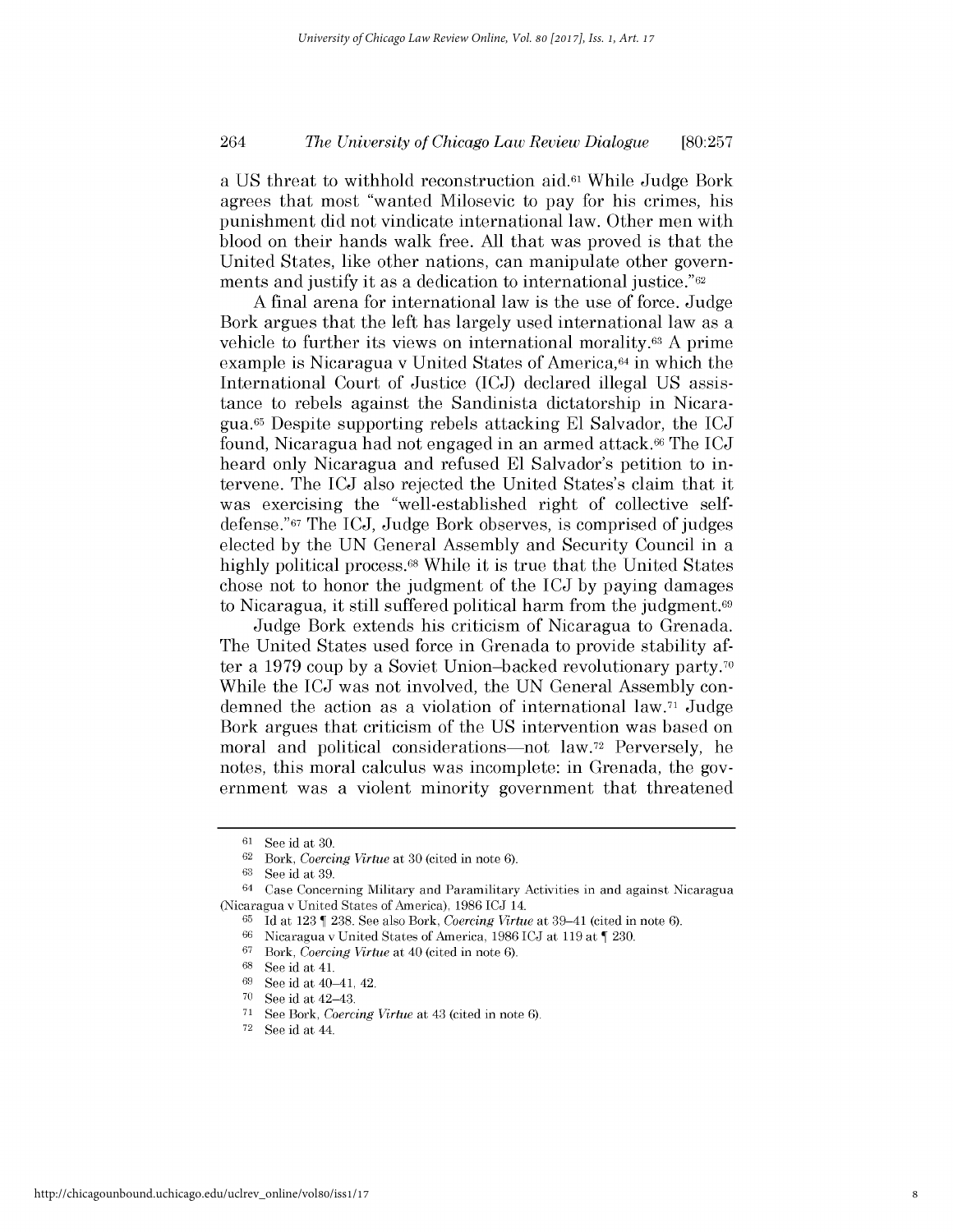# *The University of Chicago Law Review Dialogue* 264 **[80:257**

a **US** threat to withhold reconstruction aid.61 While Judge Bork agrees that most "wanted Milosevic to pay for his crimes, his punishment **did** not vindicate international law. Other men with blood on their hands walk free. **All** that was proved is that the United States, like other nations, can manipulate other governments and justify it as a dedication to international justice."62

**A** final arena for international law is the use of force. Judge Bork argues that the left has largely used international law as a vehicle to further its views on international morality.63 **A** prime example is Nicaragua v United States of America,<sup>64</sup> in which the International Court of Justice **(ICJ)** declared illegal **US** *assis*tance to rebels against the Sandinista dictatorship in Nicaragua.65 Despite supporting rebels attacking **El** Salvador, the **ICJ** found, Nicaragua had not engaged in an armed attack.66 The **ICJ** heard only Nicaragua and refused **El** Salvador's petition to intervene. The **ICJ** also rejected the United States's claim that it was exercising the "well-established right of collective selfdefense."67 The **ICJ,** Judge Bork observes, is comprised of judges elected **by** the **UN** General Assembly and Security Council in a **highly** political process.68 While it is true that the United States chose not to honor the judgment of the **ICJ by** paying damages to Nicaragua, it still suffered political harm from the judgment.<sup>69</sup>

Judge Bork extends his criticism of Nicaragua to Grenada. The United States used force in Grenada to provide stability after a **1979** coup **by** a Soviet Union-backed revolutionary party.70 While the **ICJ** was not involved, the **UN** General Assembly condemned the action as a violation of international law.71 Judge Bork argues that criticism of the **US** intervention was based on moral and political considerations—not law.<sup>72</sup> Perversely, he notes, this moral calculus was incomplete: **in** Grenada, the government was a violent minority government that threatened

**72 See** id at 44.

**<sup>61</sup> See** id at **30.**

 $62$  Bork, *Coercing Virtue* at 30 (cited in note 6).<br> $63$  Soo id at 39

**<sup>63</sup> See** id at **39.**

<sup>64</sup> Case Concerning Military and Paramilitary Activities in and against Nicaragua (Nicaragua v United States of America), **1986 lCJ** 14.

**<sup>65</sup> Id** at **123 238.** See also Bork, *Coercing Virtue* at 39-41 (cited in note **6).**

**<sup>66</sup>**Nicaragua v United States of America, **1986 lCJ** at **119** at **230.**

 $67$  Bork, *Coercing Virtue* at 40 (cited in note 6).

**<sup>68</sup> See** id at 41.

**<sup>69</sup>**See id at 40-41, 42.

**<sup>70</sup>**See id at 42-43.

<sup>&</sup>lt;sup>71</sup> See Bork, *Coercing Virtue* at 43 (cited in note 6).<sup>72</sup> See id at  $44$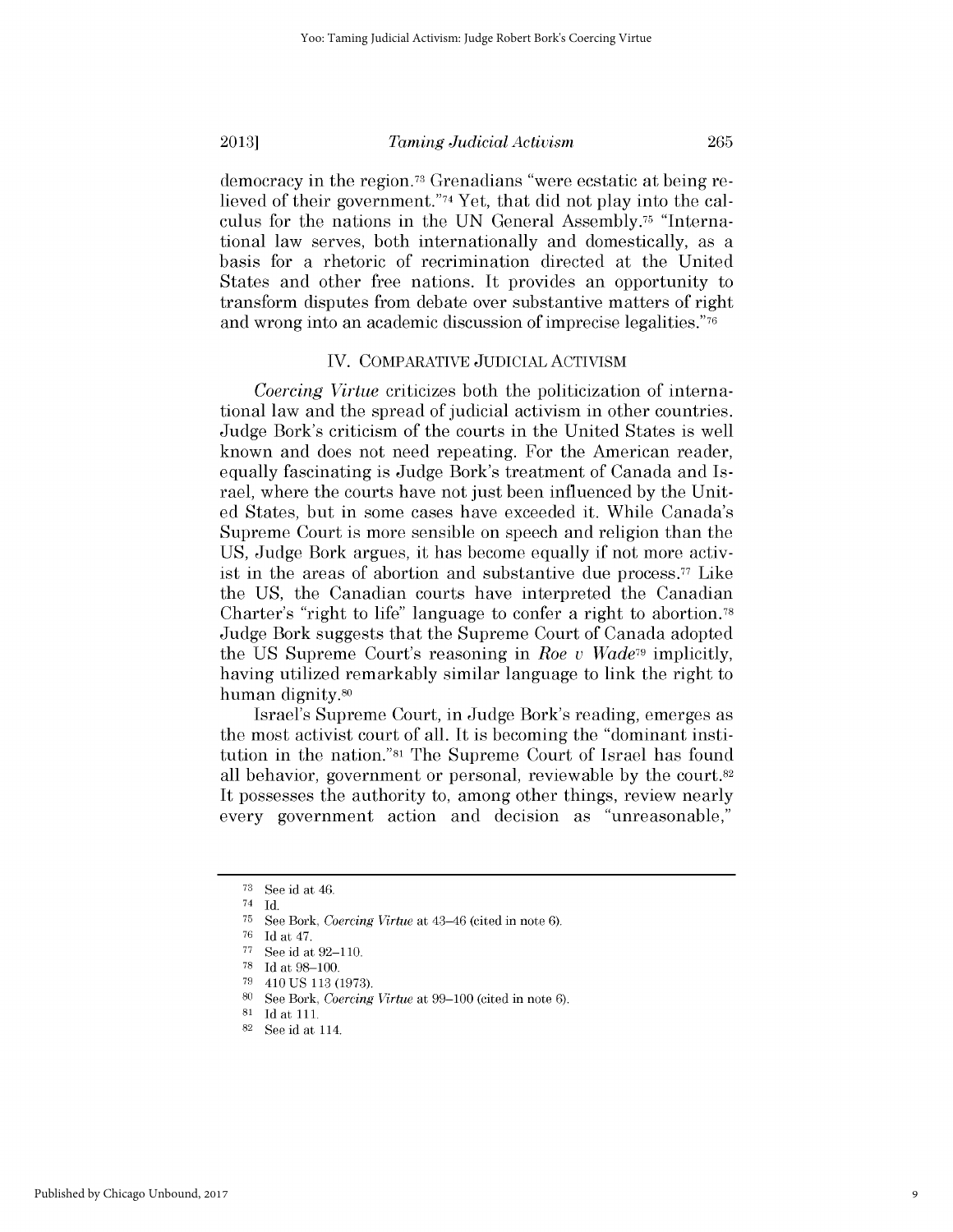democracy in the region.73 Grenadians "were ecstatic at being relieved of their government."74 Yet, that **did** not play into the calculus for the nations in the **UN** General Assembly.75 "International law serves, both internationally and domestically, as a basis for a rhetoric of recrimination directed at the United States and other free nations. It provides an opportunity to transform disputes from debate over substantive matters of right and wrong into an academic discussion of imprecise legalities."76

#### IV. COMPARATIVE JUDICIAL **ACTIVISM**

*Coercing Virtue* criticizes both the politicization of international law and the spread of judicial activism in other countries. Judge Bork's criticism of the courts in the United States is well known and does not need repeating. For the American reader, equally fascinating is Judge Bork's treatment of Canada and Israel, where the courts have not just been influenced **by** the United States, but in some cases have exceeded it. While Canada's Supreme Court is more sensible on speech and religion than the **US,** Judge Bork argues, it has become equally **if** not more activist in the areas of abortion and substantive due process.<sup> $77$ </sup> Like the **US,** the Canadian courts have interpreted the Canadian Charter's "right to life" language to confer a right to abortion.78 Judge Bork suggests that the Supreme Court of Canada adopted the **US** Supreme Court's reasoning in *Roe v Wade79* implicitly, having utilized remarkably similar language to link the right to human dignity.80

Israel's Supreme Court, in Judge Bork's reading, emerges as the most activist court of all. It is becoming the "dominant institution in the nation."81 The Supreme Court of Israel has found all behavior, government or personal, reviewable **by** the court. <sup>82</sup> It *possesses* the authority to, among other things, review nearly every government action and decision as "unreasonable,"

**<sup>73</sup> See** id at 46.

<sup>74</sup> **Id.**

**<sup>75</sup> See** Bork, *Coercing Virtue* at 43-46 (cited in note **6).**

**<sup>76</sup>**Id at 47.

**<sup>77</sup> See** id at **92-110.**

**<sup>78</sup>**Id at **98-100.**

**<sup>79</sup>**410 **US 113 (1973).**

**<sup>80</sup>**See Bork, *Coercing Virtue* at **99-100** (cited in note **6).**

**<sup>81</sup>**Idat 111.

**<sup>82</sup> See** id at 114.